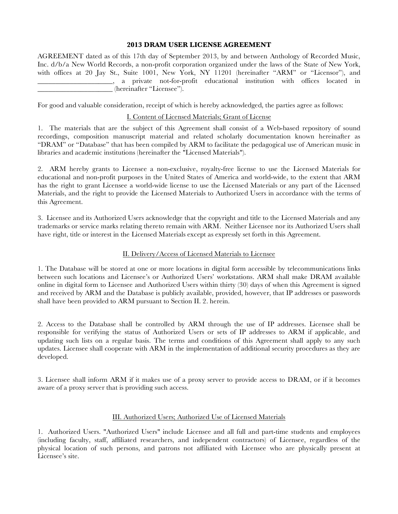# **2013 DRAM USER LICENSE AGREEMENT**

AGREEMENT dated as of this 17th day of September 2013, by and between Anthology of Recorded Music, Inc. d/b/a New World Records, a non-profit corporation organized under the laws of the State of New York, with offices at 20 Jay St., Suite 1001, New York, NY 11201 (hereinafter "ARM" or "Licensor"), and \_\_\_\_\_\_\_\_\_\_\_\_\_\_\_\_\_\_\_\_\_, a private not-for-profit educational institution with offices located in \_\_\_\_\_\_\_\_\_\_\_\_\_\_\_\_\_\_\_\_\_ (hereinafter "Licensee").

For good and valuable consideration, receipt of which is hereby acknowledged, the parties agree as follows:

# I. Content of Licensed Materials; Grant of License

1. The materials that are the subject of this Agreement shall consist of a Web-based repository of sound recordings, composition manuscript material and related scholarly documentation known hereinafter as "DRAM" or "Database" that has been compiled by ARM to facilitate the pedagogical use of American music in libraries and academic institutions (hereinafter the "Licensed Materials").

2. ARM hereby grants to Licensee a non-exclusive, royalty-free license to use the Licensed Materials for educational and non-profit purposes in the United States of America and world-wide, to the extent that ARM has the right to grant Licensee a world-wide license to use the Licensed Materials or any part of the Licensed Materials, and the right to provide the Licensed Materials to Authorized Users in accordance with the terms of this Agreement.

3. Licensee and its Authorized Users acknowledge that the copyright and title to the Licensed Materials and any trademarks or service marks relating thereto remain with ARM. Neither Licensee nor its Authorized Users shall have right, title or interest in the Licensed Materials except as expressly set forth in this Agreement.

# II. Delivery/Access of Licensed Materials to Licensee

1. The Database will be stored at one or more locations in digital form accessible by telecommunications links between such locations and Licensee's or Authorized Users' workstations. ARM shall make DRAM available online in digital form to Licensee and Authorized Users within thirty (30) days of when this Agreement is signed and received by ARM and the Database is publicly available, provided, however, that IP addresses or passwords shall have been provided to ARM pursuant to Section II. 2. herein.

2. Access to the Database shall be controlled by ARM through the use of IP addresses. Licensee shall be responsible for verifying the status of Authorized Users or sets of IP addresses to ARM if applicable, and updating such lists on a regular basis. The terms and conditions of this Agreement shall apply to any such updates. Licensee shall cooperate with ARM in the implementation of additional security procedures as they are developed.

3. Licensee shall inform ARM if it makes use of a proxy server to provide access to DRAM, or if it becomes aware of a proxy server that is providing such access.

### III. Authorized Users; Authorized Use of Licensed Materials

1. Authorized Users. "Authorized Users" include Licensee and all full and part-time students and employees (including faculty, staff, affiliated researchers, and independent contractors) of Licensee, regardless of the physical location of such persons, and patrons not affiliated with Licensee who are physically present at Licensee's site.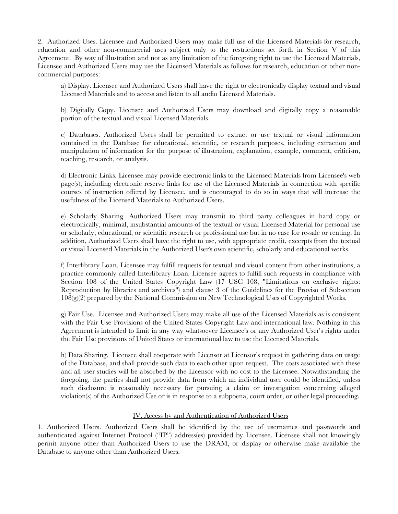2. Authorized Uses. Licensee and Authorized Users may make full use of the Licensed Materials for research, education and other non-commercial uses subject only to the restrictions set forth in Section V of this Agreement. By way of illustration and not as any limitation of the foregoing right to use the Licensed Materials, Licensee and Authorized Users may use the Licensed Materials as follows for research, education or other noncommercial purposes:

a) Display. Licensee and Authorized Users shall have the right to electronically display textual and visual Licensed Materials and to access and listen to all audio Licensed Materials.

b) Digitally Copy. Licensee and Authorized Users may download and digitally copy a reasonable portion of the textual and visual Licensed Materials.

c) Databases. Authorized Users shall be permitted to extract or use textual or visual information contained in the Database for educational, scientific, or research purposes, including extraction and manipulation of information for the purpose of illustration, explanation, example, comment, criticism, teaching, research, or analysis.

d) Electronic Links. Licensee may provide electronic links to the Licensed Materials from Licensee's web page(s), including electronic reserve links for use of the Licensed Materials in connection with specific courses of instruction offered by Licensee, and is encouraged to do so in ways that will increase the usefulness of the Licensed Materials to Authorized Users.

e) Scholarly Sharing. Authorized Users may transmit to third party colleagues in hard copy or electronically, minimal, insubstantial amounts of the textual or visual Licensed Material for personal use or scholarly, educational, or scientific research or professional use but in no case for re-sale or renting. In addition, Authorized Users shall have the right to use, with appropriate credit, excerpts from the textual or visual Licensed Materials in the Authorized User's own scientific, scholarly and educational works.

f) Interlibrary Loan. Licensee may fulfill requests for textual and visual content from other institutions, a practice commonly called Interlibrary Loan. Licensee agrees to fulfill such requests in compliance with Section 108 of the United States Copyright Law (17 USC 108, "Limitations on exclusive rights: Reproduction by libraries and archives") and clause 3 of the Guidelines for the Proviso of Subsection 108(g)(2) prepared by the National Commission on New Technological Uses of Copyrighted Works.

g) Fair Use. Licensee and Authorized Users may make all use of the Licensed Materials as is consistent with the Fair Use Provisions of the United States Copyright Law and international law. Nothing in this Agreement is intended to limit in any way whatsoever Licensee's or any Authorized User's rights under the Fair Use provisions of United States or international law to use the Licensed Materials.

h) Data Sharing. Licensee shall cooperate with Licensor at Licensor's request in gathering data on usage of the Database, and shall provide such data to each other upon request. The costs associated with these and all user studies will be absorbed by the Licensor with no cost to the Licensee. Notwithstanding the foregoing, the parties shall not provide data from which an individual user could be identified, unless such disclosure is reasonably necessary for pursuing a claim or investigation concerning alleged violation(s) of the Authorized Use or is in response to a subpoena, court order, or other legal proceeding.

### IV. Access by and Authentication of Authorized Users

1. Authorized Users. Authorized Users shall be identified by the use of usernames and passwords and authenticated against Internet Protocol ("IP") address(es) provided by Licensee. Licensee shall not knowingly permit anyone other than Authorized Users to use the DRAM, or display or otherwise make available the Database to anyone other than Authorized Users.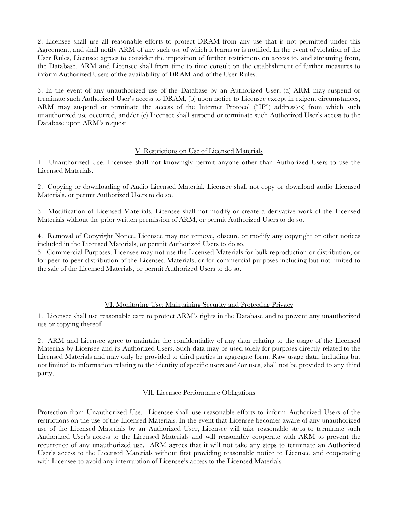2. Licensee shall use all reasonable efforts to protect DRAM from any use that is not permitted under this Agreement, and shall notify ARM of any such use of which it learns or is notified. In the event of violation of the User Rules, Licensee agrees to consider the imposition of further restrictions on access to, and streaming from, the Database. ARM and Licensee shall from time to time consult on the establishment of further measures to inform Authorized Users of the availability of DRAM and of the User Rules.

3. In the event of any unauthorized use of the Database by an Authorized User, (a) ARM may suspend or terminate such Authorized User's access to DRAM, (b) upon notice to Licensee except in exigent circumstances, ARM may suspend or terminate the access of the Internet Protocol ("IP") address(es) from which such unauthorized use occurred, and/or (c) Licensee shall suspend or terminate such Authorized User's access to the Database upon ARM's request.

### V. Restrictions on Use of Licensed Materials

1. Unauthorized Use. Licensee shall not knowingly permit anyone other than Authorized Users to use the Licensed Materials.

2. Copying or downloading of Audio Licensed Material. Licensee shall not copy or download audio Licensed Materials, or permit Authorized Users to do so.

3. Modification of Licensed Materials. Licensee shall not modify or create a derivative work of the Licensed Materials without the prior written permission of ARM, or permit Authorized Users to do so.

4. Removal of Copyright Notice. Licensee may not remove, obscure or modify any copyright or other notices included in the Licensed Materials, or permit Authorized Users to do so.

5. Commercial Purposes. Licensee may not use the Licensed Materials for bulk reproduction or distribution, or for peer-to-peer distribution of the Licensed Materials, or for commercial purposes including but not limited to the sale of the Licensed Materials, or permit Authorized Users to do so.

# VI. Monitoring Use: Maintaining Security and Protecting Privacy

1. Licensee shall use reasonable care to protect ARM's rights in the Database and to prevent any unauthorized use or copying thereof.

2. ARM and Licensee agree to maintain the confidentiality of any data relating to the usage of the Licensed Materials by Licensee and its Authorized Users. Such data may be used solely for purposes directly related to the Licensed Materials and may only be provided to third parties in aggregate form. Raw usage data, including but not limited to information relating to the identity of specific users and/or uses, shall not be provided to any third party.

### VII. Licensee Performance Obligations

Protection from Unauthorized Use. Licensee shall use reasonable efforts to inform Authorized Users of the restrictions on the use of the Licensed Materials. In the event that Licensee becomes aware of any unauthorized use of the Licensed Materials by an Authorized User, Licensee will take reasonable steps to terminate such Authorized User's access to the Licensed Materials and will reasonably cooperate with ARM to prevent the recurrence of any unauthorized use. ARM agrees that it will not take any steps to terminate an Authorized User's access to the Licensed Materials without first providing reasonable notice to Licensee and cooperating with Licensee to avoid any interruption of Licensee's access to the Licensed Materials.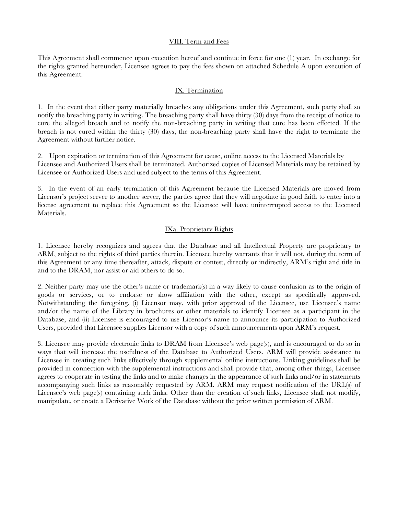#### VIII. Term and Fees

This Agreement shall commence upon execution hereof and continue in force for one (1) year. In exchange for the rights granted hereunder, Licensee agrees to pay the fees shown on attached Schedule A upon execution of this Agreement.

# IX. Termination

1. In the event that either party materially breaches any obligations under this Agreement, such party shall so notify the breaching party in writing. The breaching party shall have thirty (30) days from the receipt of notice to cure the alleged breach and to notify the non-breaching party in writing that cure has been effected. If the breach is not cured within the thirty (30) days, the non-breaching party shall have the right to terminate the Agreement without further notice.

2. Upon expiration or termination of this Agreement for cause, online access to the Licensed Materials by Licensee and Authorized Users shall be terminated. Authorized copies of Licensed Materials may be retained by Licensee or Authorized Users and used subject to the terms of this Agreement.

3. In the event of an early termination of this Agreement because the Licensed Materials are moved from Licensor's project server to another server, the parties agree that they will negotiate in good faith to enter into a license agreement to replace this Agreement so the Licensee will have uninterrupted access to the Licensed Materials.

### IXa. Proprietary Rights

1. Licensee hereby recognizes and agrees that the Database and all Intellectual Property are proprietary to ARM, subject to the rights of third parties therein. Licensee hereby warrants that it will not, during the term of this Agreement or any time thereafter, attack, dispute or contest, directly or indirectly, ARM's right and title in and to the DRAM, nor assist or aid others to do so.

2. Neither party may use the other's name or trademark(s) in a way likely to cause confusion as to the origin of goods or services, or to endorse or show affiliation with the other, except as specifically approved. Notwithstanding the foregoing, (i) Licensor may, with prior approval of the Licensee, use Licensee's name and/or the name of the Library in brochures or other materials to identify Licensee as a participant in the Database, and (ii) Licensee is encouraged to use Licensor's name to announce its participation to Authorized Users, provided that Licensee supplies Licensor with a copy of such announcements upon ARM's request.

3. Licensee may provide electronic links to DRAM from Licensee's web page(s), and is encouraged to do so in ways that will increase the usefulness of the Database to Authorized Users. ARM will provide assistance to Licensee in creating such links effectively through supplemental online instructions. Linking guidelines shall be provided in connection with the supplemental instructions and shall provide that, among other things, Licensee agrees to cooperate in testing the links and to make changes in the appearance of such links and/or in statements accompanying such links as reasonably requested by ARM. ARM may request notification of the URL(s) of Licensee's web page(s) containing such links. Other than the creation of such links, Licensee shall not modify, manipulate, or create a Derivative Work of the Database without the prior written permission of ARM.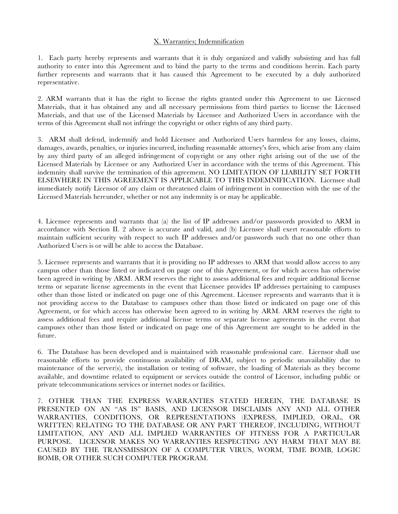#### X. Warranties; Indemnification

1. Each party hereby represents and warrants that it is duly organized and validly subsisting and has full authority to enter into this Agreement and to bind the party to the terms and conditions herein. Each party further represents and warrants that it has caused this Agreement to be executed by a duly authorized representative.

2. ARM warrants that it has the right to license the rights granted under this Agreement to use Licensed Materials, that it has obtained any and all necessary permissions from third parties to license the Licensed Materials, and that use of the Licensed Materials by Licensee and Authorized Users in accordance with the terms of this Agreement shall not infringe the copyright or other rights of any third party.

3. ARM shall defend, indemnify and hold Licensee and Authorized Users harmless for any losses, claims, damages, awards, penalties, or injuries incurred, including reasonable attorney's fees, which arise from any claim by any third party of an alleged infringement of copyright or any other right arising out of the use of the Licensed Materials by Licensee or any Authorized User in accordance with the terms of this Agreement. This indemnity shall survive the termination of this agreement. NO LIMITATION OF LIABILITY SET FORTH ELSEWHERE IN THIS AGREEMENT IS APPLICABLE TO THIS INDEMNIFICATION. Licensee shall immediately notify Licensor of any claim or threatened claim of infringement in connection with the use of the Licensed Materials hereunder, whether or not any indemnity is or may be applicable.

4. Licensee represents and warrants that (a) the list of IP addresses and/or passwords provided to ARM in accordance with Section II. 2 above is accurate and valid, and (b) Licensee shall exert reasonable efforts to maintain sufficient security with respect to such IP addresses and/or passwords such that no one other than Authorized Users is or will be able to access the Database.

5. Licensee represents and warrants that it is providing no IP addresses to ARM that would allow access to any campus other than those listed or indicated on page one of this Agreement, or for which access has otherwise been agreed in writing by ARM. ARM reserves the right to assess additional fees and require additional license terms or separate license agreements in the event that Licensee provides IP addresses pertaining to campuses other than those listed or indicated on page one of this Agreement. Licensee represents and warrants that it is not providing access to the Database to campuses other than those listed or indicated on page one of this Agreement, or for which access has otherwise been agreed to in writing by ARM. ARM reserves the right to assess additional fees and require additional license terms or separate license agreements in the event that campuses other than those listed or indicated on page one of this Agreement are sought to be added in the future.

6. The Database has been developed and is maintained with reasonable professional care. Licensor shall use reasonable efforts to provide continuous availability of DRAM, subject to periodic unavailability due to maintenance of the server(s), the installation or testing of software, the loading of Materials as they become available, and downtime related to equipment or services outside the control of Licensor, including public or private telecommunications services or internet nodes or facilities.

7. OTHER THAN THE EXPRESS WARRANTIES STATED HEREIN, THE DATABASE IS PRESENTED ON AN "AS IS" BASIS, AND LICENSOR DISCLAIMS ANY AND ALL OTHER WARRANTIES, CONDITIONS, OR REPRESENTATIONS (EXPRESS, IMPLIED, ORAL, OR WRITTEN) RELATING TO THE DATABASE OR ANY PART THEREOF, INCLUDING, WITHOUT LIMITATION, ANY AND ALL IMPLIED WARRANTIES OF FITNESS FOR A PARTICULAR PURPOSE. LICENSOR MAKES NO WARRANTIES RESPECTING ANY HARM THAT MAY BE CAUSED BY THE TRANSMISSION OF A COMPUTER VIRUS, WORM, TIME BOMB, LOGIC BOMB, OR OTHER SUCH COMPUTER PROGRAM.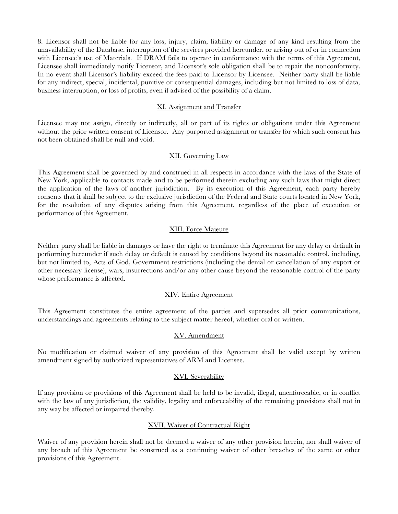8. Licensor shall not be liable for any loss, injury, claim, liability or damage of any kind resulting from the unavailability of the Database, interruption of the services provided hereunder, or arising out of or in connection with Licensee's use of Materials. If DRAM fails to operate in conformance with the terms of this Agreement, Licensee shall immediately notify Licensor, and Licensor's sole obligation shall be to repair the nonconformity. In no event shall Licensor's liability exceed the fees paid to Licensor by Licensee. Neither party shall be liable for any indirect, special, incidental, punitive or consequential damages, including but not limited to loss of data, business interruption, or loss of profits, even if advised of the possibility of a claim.

#### XI. Assignment and Transfer

Licensee may not assign, directly or indirectly, all or part of its rights or obligations under this Agreement without the prior written consent of Licensor. Any purported assignment or transfer for which such consent has not been obtained shall be null and void.

### XII. Governing Law

This Agreement shall be governed by and construed in all respects in accordance with the laws of the State of New York, applicable to contacts made and to be performed therein excluding any such laws that might direct the application of the laws of another jurisdiction. By its execution of this Agreement, each party hereby consents that it shall be subject to the exclusive jurisdiction of the Federal and State courts located in New York, for the resolution of any disputes arising from this Agreement, regardless of the place of execution or performance of this Agreement.

### XIII. Force Majeure

Neither party shall be liable in damages or have the right to terminate this Agreement for any delay or default in performing hereunder if such delay or default is caused by conditions beyond its reasonable control, including, but not limited to, Acts of God, Government restrictions (including the denial or cancellation of any export or other necessary license), wars, insurrections and/or any other cause beyond the reasonable control of the party whose performance is affected.

### XIV. Entire Agreement

This Agreement constitutes the entire agreement of the parties and supersedes all prior communications, understandings and agreements relating to the subject matter hereof, whether oral or written.

# XV. Amendment

No modification or claimed waiver of any provision of this Agreement shall be valid except by written amendment signed by authorized representatives of ARM and Licensee.

### XVI. Severability

If any provision or provisions of this Agreement shall be held to be invalid, illegal, unenforceable, or in conflict with the law of any jurisdiction, the validity, legality and enforceability of the remaining provisions shall not in any way be affected or impaired thereby.

### XVII. Waiver of Contractual Right

Waiver of any provision herein shall not be deemed a waiver of any other provision herein, nor shall waiver of any breach of this Agreement be construed as a continuing waiver of other breaches of the same or other provisions of this Agreement.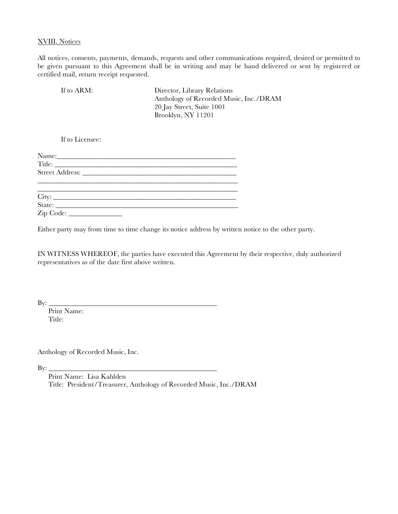#### XVIII. Notices

All notices, consents, payments, demands, requests and other communications required, desired or permitted to be given pursuant to this Agreement shall be in writing and may be hand delivered or sent by registered or certified mail, return receipt requested.

| If to ARM: | Director, Library Relations                                         |
|------------|---------------------------------------------------------------------|
|            | Anthology of Recorded Music, Inc./DRAM<br>20 Jay Street, Suite 1001 |
|            | Brooklyn, NY 11201                                                  |

If to Licensee:

Either party may from time to time change its notice address by written notice to the other party.

IN WITNESS WHEREOF, the parties have executed this Agreement by their respective, duly authorized representatives as of the date first above written.

By: \_\_\_\_\_\_\_\_\_\_\_\_\_\_\_\_\_\_\_\_\_\_\_\_\_\_\_\_\_\_\_\_\_\_\_\_\_\_\_\_\_\_\_\_\_\_\_

Print Name: Title:

Anthology of Recorded Music, Inc.

By: \_\_\_\_\_\_\_\_\_\_\_\_\_\_\_\_\_\_\_\_\_\_\_\_\_\_\_\_\_\_\_\_\_\_\_\_\_\_\_\_\_\_\_\_\_\_\_

Print Name: Lisa Kahlden

Title: President/Treasurer, Anthology of Recorded Music, Inc./DRAM